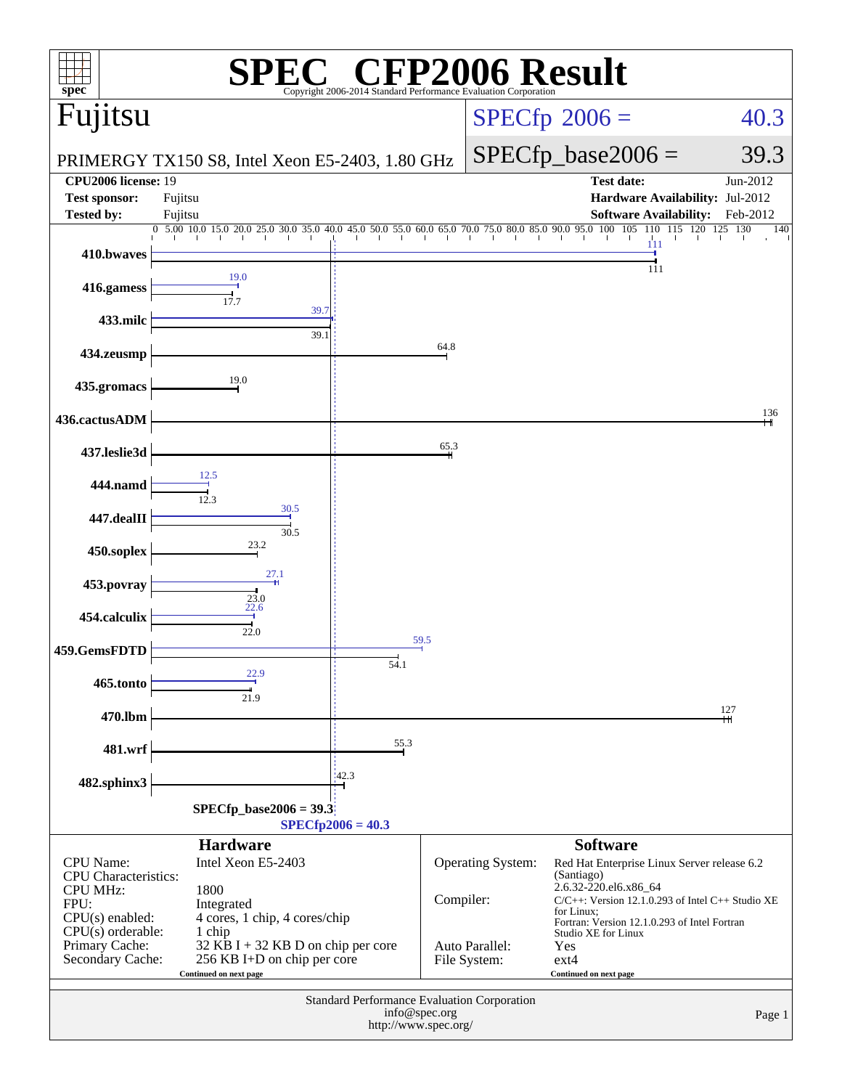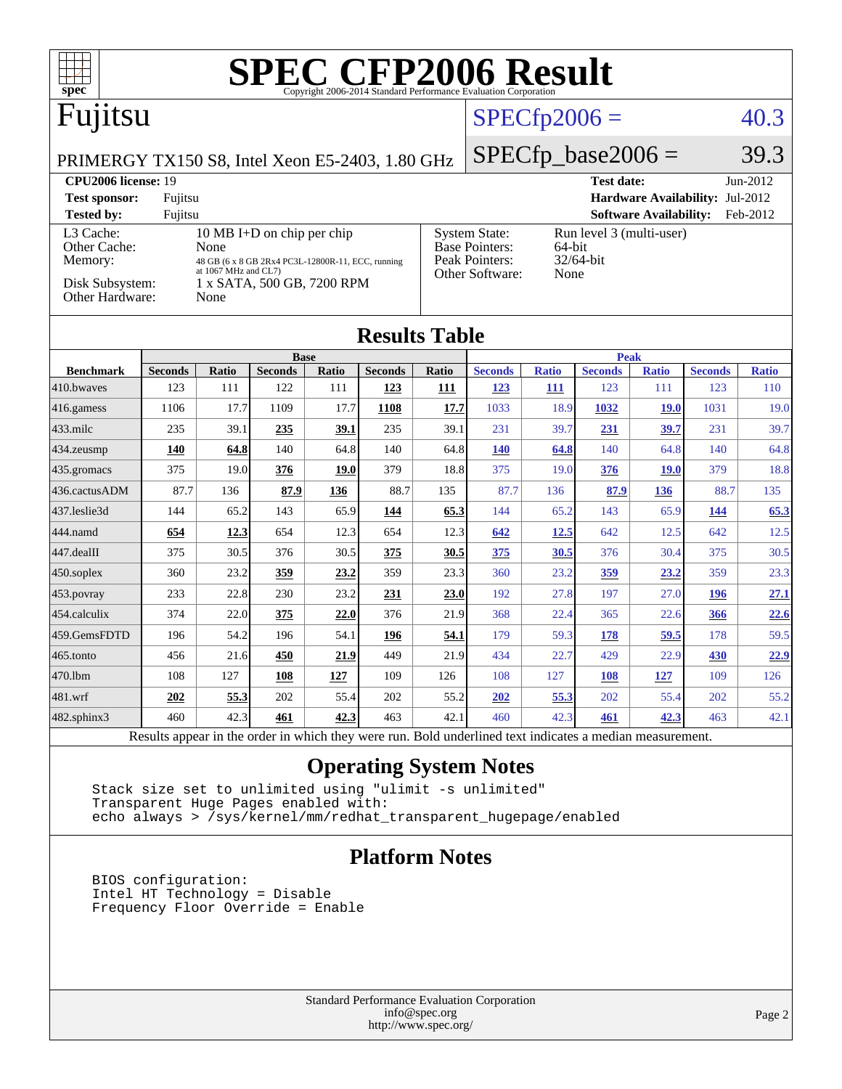| <b>SPEC CFP2006 Result</b><br>spec <sup>8</sup><br>Copyright 2006-2014 Standard Performance Evaluation Corporation                                                                                                                                                                                                                                                                                  |                |       |                               |             |                |       |                      |              |                               |                               |                                 |              |
|-----------------------------------------------------------------------------------------------------------------------------------------------------------------------------------------------------------------------------------------------------------------------------------------------------------------------------------------------------------------------------------------------------|----------------|-------|-------------------------------|-------------|----------------|-------|----------------------|--------------|-------------------------------|-------------------------------|---------------------------------|--------------|
| Fujitsu                                                                                                                                                                                                                                                                                                                                                                                             |                |       |                               |             | $SPECfp2006 =$ |       |                      |              | 40.3                          |                               |                                 |              |
| PRIMERGY TX150 S8, Intel Xeon E5-2403, 1.80 GHz                                                                                                                                                                                                                                                                                                                                                     |                |       |                               |             |                |       | $SPECfp\_base2006 =$ |              |                               | 39.3                          |                                 |              |
| CPU2006 license: 19<br><b>Test sponsor:</b>                                                                                                                                                                                                                                                                                                                                                         | Fujitsu        |       |                               |             |                |       |                      |              | <b>Test date:</b>             |                               | Hardware Availability: Jul-2012 | Jun-2012     |
| <b>Tested by:</b>                                                                                                                                                                                                                                                                                                                                                                                   | Fujitsu        |       |                               |             |                |       |                      |              |                               | <b>Software Availability:</b> |                                 | Feb-2012     |
| 10 MB I+D on chip per chip<br>L <sub>3</sub> Cache:<br><b>System State:</b><br>Run level 3 (multi-user)<br><b>Base Pointers:</b><br>64-bit<br>Other Cache:<br>None<br>Peak Pointers:<br>$32/64$ -bit<br>Memory:<br>48 GB (6 x 8 GB 2Rx4 PC3L-12800R-11, ECC, running<br>at 1067 MHz and CL7)<br>Other Software:<br>None<br>Disk Subsystem:<br>1 x SATA, 500 GB, 7200 RPM<br>Other Hardware:<br>None |                |       |                               |             |                |       |                      |              |                               |                               |                                 |              |
| <b>Results Table</b>                                                                                                                                                                                                                                                                                                                                                                                |                |       |                               |             |                |       |                      |              |                               |                               |                                 |              |
| <b>Benchmark</b>                                                                                                                                                                                                                                                                                                                                                                                    | <b>Seconds</b> | Ratio | <b>Base</b><br><b>Seconds</b> | Ratio       | <b>Seconds</b> | Ratio | <b>Seconds</b>       | <b>Ratio</b> | <b>Peak</b><br><b>Seconds</b> | <b>Ratio</b>                  | <b>Seconds</b>                  | <b>Ratio</b> |
| 410.bwayes                                                                                                                                                                                                                                                                                                                                                                                          | 123            | 111   | 122                           | 111         | 123            | 111   | <u>123</u>           | 111          | 123                           | 111                           | 123                             | 110          |
| 416.gamess                                                                                                                                                                                                                                                                                                                                                                                          | 1106           | 17.7  | 1109                          | 17.7        | 1108           | 17.7  | 1033                 | 18.9         | 1032                          | 19.0                          | 1031                            | 19.0         |
| $433$ .milc                                                                                                                                                                                                                                                                                                                                                                                         | 235            | 39.1  | 235                           | 39.1        | 235            | 39.1  | 231                  | 39.7         | 231                           | 39.7                          | 231                             | 39.7         |
| 434.zeusmp                                                                                                                                                                                                                                                                                                                                                                                          | 140            | 64.8  | 140                           | 64.8        | 140            | 64.8  | <b>140</b>           | 64.8         | 140                           | 64.8                          | 140                             | 64.8         |
| 435.gromacs                                                                                                                                                                                                                                                                                                                                                                                         | 375            | 19.0  | 376                           | <b>19.0</b> | 379            | 18.8  | 375                  | 19.0         | 376                           | <b>19.0</b>                   | 379                             | 18.8         |
| 436.cactusADM                                                                                                                                                                                                                                                                                                                                                                                       | 87.7           | 136   | 87.9                          | 136         | 88.7           | 135   | 87.7                 | 136          | 87.9                          | 136                           | 88.7                            | 135          |
| 437.leslie3d                                                                                                                                                                                                                                                                                                                                                                                        | 144            | 65.2  | 143                           | 65.9        | 144            | 65.3  | 144                  | 65.2         | 143                           | 65.9                          | 144                             | 65.3         |
| 444.namd                                                                                                                                                                                                                                                                                                                                                                                            | 654            | 12.3  | 654                           | 12.3        | 654            | 12.3  | <u>642</u>           | 12.5         | 642                           | 12.5                          | 642                             | 12.5         |
| 447.dealII                                                                                                                                                                                                                                                                                                                                                                                          | 375            | 30.5  | 376                           | 30.5        | 375            | 30.5  | 375                  | 30.5         | 376                           | 30.4                          | 375                             | 30.5         |
| $450$ .soplex                                                                                                                                                                                                                                                                                                                                                                                       | 360            | 23.2  | 359                           | 23.2        | 359            | 23.3  | 360                  | 23.2         | <u>359</u>                    | 23.2                          | 359                             | 23.3         |
| 453.povray                                                                                                                                                                                                                                                                                                                                                                                          | 233            | 22.8  | 230                           | 23.2        | 231            | 23.0  | 192                  | 27.8         | 197                           | 27.0                          | <b>196</b>                      | 27.1         |
| 454.calculix                                                                                                                                                                                                                                                                                                                                                                                        | 374            | 22.0  | 375                           | 22.0        | 376            | 21.9  | 368                  | 22.4         | 365                           | 22.6                          | 366                             | 22.6         |
| 459.GemsFDTD                                                                                                                                                                                                                                                                                                                                                                                        | 196            | 54.2  | 196                           | 54.1        | 196            | 54.1  | 179                  | 59.3         | 178                           | 59.5                          | 178                             | 59.5         |
| 465.tonto                                                                                                                                                                                                                                                                                                                                                                                           | 456            | 21.6  | 450                           | 21.9        | 449            | 21.9  | 434                  | 22.7         | 429                           | 22.9                          | 430                             | <u>22.9</u>  |
| 470.1bm                                                                                                                                                                                                                                                                                                                                                                                             | 108            | 127   | 108                           | 127         | 109            | 126   | 108                  | 127          | <b>108</b>                    | 127                           | 109                             | 126          |
| 481.wrf                                                                                                                                                                                                                                                                                                                                                                                             | 202            | 55.3  | 202                           | 55.4        | 202            | 55.2  | 202                  | 55.3         | 202                           | 55.4                          | 202                             | 55.2         |
| 482.sphinx3                                                                                                                                                                                                                                                                                                                                                                                         | 460            | 42.3  | 461                           | 42.3        | 463            | 42.1  | 460                  | 42.3         | 461                           | 42.3                          | 463                             | 42.1         |
| Results appear in the order in which they were run. Bold underlined text indicates a median measurement.                                                                                                                                                                                                                                                                                            |                |       |                               |             |                |       |                      |              |                               |                               |                                 |              |

**[Operating System Notes](http://www.spec.org/auto/cpu2006/Docs/result-fields.html#OperatingSystemNotes)**

 Stack size set to unlimited using "ulimit -s unlimited" Transparent Huge Pages enabled with: echo always > /sys/kernel/mm/redhat\_transparent\_hugepage/enabled

### **[Platform Notes](http://www.spec.org/auto/cpu2006/Docs/result-fields.html#PlatformNotes)**

 BIOS configuration: Intel HT Technology = Disable Frequency Floor Override = Enable

> Standard Performance Evaluation Corporation [info@spec.org](mailto:info@spec.org) <http://www.spec.org/>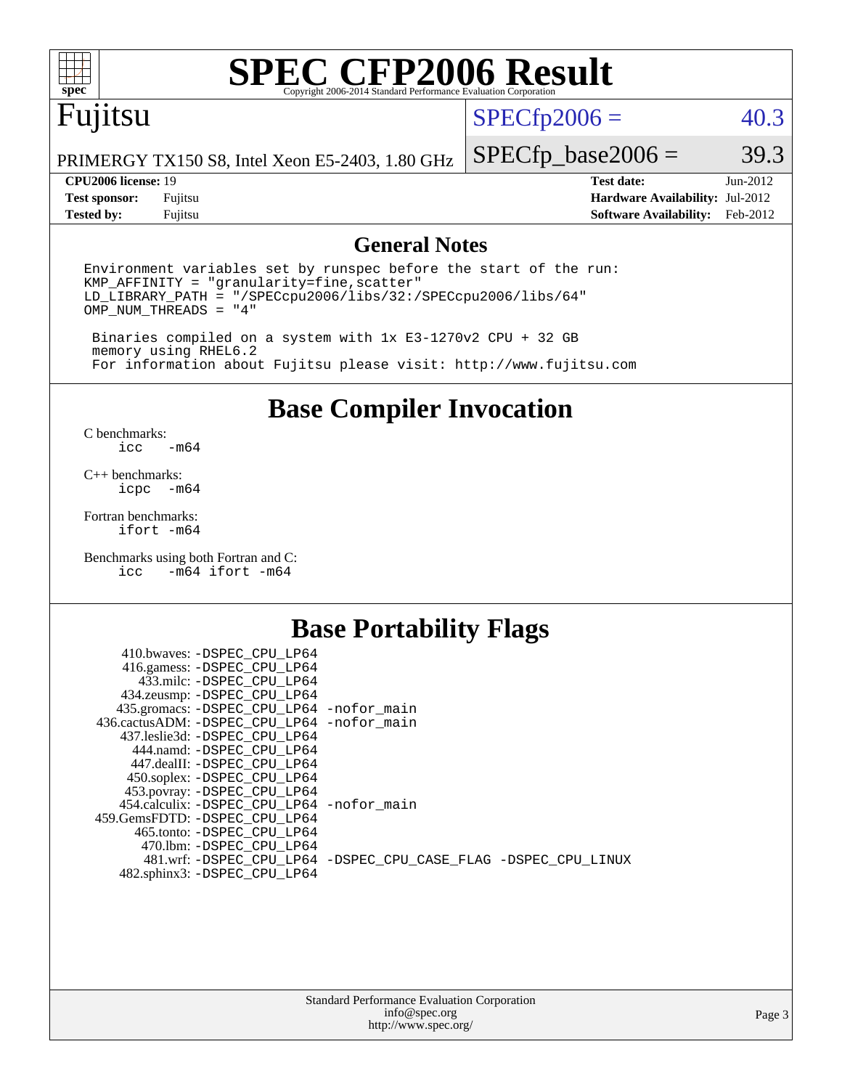

# **[SPEC CFP2006 Result](http://www.spec.org/auto/cpu2006/Docs/result-fields.html#SPECCFP2006Result)**

# Fujitsu

## $SPECfp2006 = 40.3$  $SPECfp2006 = 40.3$

PRIMERGY TX150 S8, Intel Xeon E5-2403, 1.80 GHz

**[Test sponsor:](http://www.spec.org/auto/cpu2006/Docs/result-fields.html#Testsponsor)** Fujitsu **[Hardware Availability:](http://www.spec.org/auto/cpu2006/Docs/result-fields.html#HardwareAvailability)** Jul-2012 **[Tested by:](http://www.spec.org/auto/cpu2006/Docs/result-fields.html#Testedby)** Fujitsu **[Software Availability:](http://www.spec.org/auto/cpu2006/Docs/result-fields.html#SoftwareAvailability)** Feb-2012

 $SPECTp\_base2006 = 39.3$ **[CPU2006 license:](http://www.spec.org/auto/cpu2006/Docs/result-fields.html#CPU2006license)** 19 **[Test date:](http://www.spec.org/auto/cpu2006/Docs/result-fields.html#Testdate)** Jun-2012

### **[General Notes](http://www.spec.org/auto/cpu2006/Docs/result-fields.html#GeneralNotes)**

Environment variables set by runspec before the start of the run: KMP\_AFFINITY = "granularity=fine,scatter" LD\_LIBRARY\_PATH = "/SPECcpu2006/libs/32:/SPECcpu2006/libs/64" OMP\_NUM\_THREADS = "4"

 Binaries compiled on a system with 1x E3-1270v2 CPU + 32 GB memory using RHEL6.2 For information about Fujitsu please visit: <http://www.fujitsu.com>

**[Base Compiler Invocation](http://www.spec.org/auto/cpu2006/Docs/result-fields.html#BaseCompilerInvocation)**

 $C$  benchmarks:<br>icc  $-m64$ 

[C++ benchmarks:](http://www.spec.org/auto/cpu2006/Docs/result-fields.html#CXXbenchmarks) [icpc -m64](http://www.spec.org/cpu2006/results/res2012q3/cpu2006-20120810-24098.flags.html#user_CXXbase_intel_icpc_64bit_bedb90c1146cab66620883ef4f41a67e)

[Fortran benchmarks](http://www.spec.org/auto/cpu2006/Docs/result-fields.html#Fortranbenchmarks): [ifort -m64](http://www.spec.org/cpu2006/results/res2012q3/cpu2006-20120810-24098.flags.html#user_FCbase_intel_ifort_64bit_ee9d0fb25645d0210d97eb0527dcc06e)

[Benchmarks using both Fortran and C](http://www.spec.org/auto/cpu2006/Docs/result-fields.html#BenchmarksusingbothFortranandC): [icc -m64](http://www.spec.org/cpu2006/results/res2012q3/cpu2006-20120810-24098.flags.html#user_CC_FCbase_intel_icc_64bit_0b7121f5ab7cfabee23d88897260401c) [ifort -m64](http://www.spec.org/cpu2006/results/res2012q3/cpu2006-20120810-24098.flags.html#user_CC_FCbase_intel_ifort_64bit_ee9d0fb25645d0210d97eb0527dcc06e)

## **[Base Portability Flags](http://www.spec.org/auto/cpu2006/Docs/result-fields.html#BasePortabilityFlags)**

| 410.bwaves: -DSPEC CPU LP64                 |                                                                |
|---------------------------------------------|----------------------------------------------------------------|
| 416.gamess: -DSPEC_CPU_LP64                 |                                                                |
| 433.milc: -DSPEC CPU LP64                   |                                                                |
| 434.zeusmp: -DSPEC_CPU_LP64                 |                                                                |
| 435.gromacs: -DSPEC_CPU_LP64 -nofor_main    |                                                                |
| 436.cactusADM: -DSPEC CPU LP64 -nofor main  |                                                                |
| 437.leslie3d: -DSPEC CPU LP64               |                                                                |
| 444.namd: -DSPEC CPU LP64                   |                                                                |
| 447.dealII: -DSPEC CPU LP64                 |                                                                |
| 450.soplex: -DSPEC_CPU_LP64                 |                                                                |
| 453.povray: -DSPEC_CPU_LP64                 |                                                                |
| 454.calculix: - DSPEC CPU LP64 - nofor main |                                                                |
| 459. GemsFDTD: - DSPEC CPU LP64             |                                                                |
| 465.tonto: - DSPEC CPU LP64                 |                                                                |
| 470.1bm: - DSPEC CPU LP64                   |                                                                |
|                                             | 481.wrf: -DSPEC_CPU_LP64 -DSPEC_CPU_CASE_FLAG -DSPEC_CPU_LINUX |
| 482.sphinx3: -DSPEC_CPU_LP64                |                                                                |
|                                             |                                                                |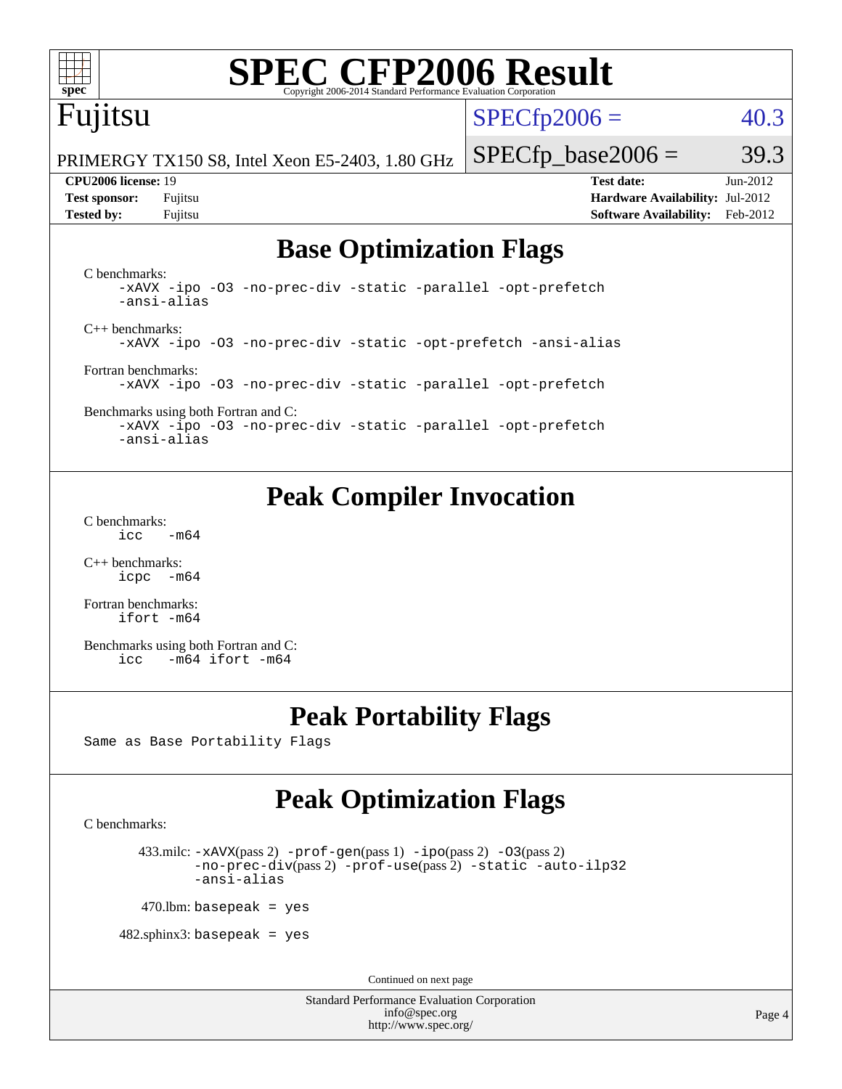

# **[SPEC CFP2006 Result](http://www.spec.org/auto/cpu2006/Docs/result-fields.html#SPECCFP2006Result)**

# Fujitsu

 $SPECfp2006 = 40.3$  $SPECfp2006 = 40.3$ 

PRIMERGY TX150 S8, Intel Xeon E5-2403, 1.80 GHz

**[Test sponsor:](http://www.spec.org/auto/cpu2006/Docs/result-fields.html#Testsponsor)** Fujitsu **[Hardware Availability:](http://www.spec.org/auto/cpu2006/Docs/result-fields.html#HardwareAvailability)** Jul-2012 **[Tested by:](http://www.spec.org/auto/cpu2006/Docs/result-fields.html#Testedby)** Fujitsu **[Software Availability:](http://www.spec.org/auto/cpu2006/Docs/result-fields.html#SoftwareAvailability)** Feb-2012

 $SPECTp\_base2006 = 39.3$ **[CPU2006 license:](http://www.spec.org/auto/cpu2006/Docs/result-fields.html#CPU2006license)** 19 **[Test date:](http://www.spec.org/auto/cpu2006/Docs/result-fields.html#Testdate)** Jun-2012

# **[Base Optimization Flags](http://www.spec.org/auto/cpu2006/Docs/result-fields.html#BaseOptimizationFlags)**

[C benchmarks](http://www.spec.org/auto/cpu2006/Docs/result-fields.html#Cbenchmarks): [-xAVX](http://www.spec.org/cpu2006/results/res2012q3/cpu2006-20120810-24098.flags.html#user_CCbase_f-xAVX) [-ipo](http://www.spec.org/cpu2006/results/res2012q3/cpu2006-20120810-24098.flags.html#user_CCbase_f-ipo) [-O3](http://www.spec.org/cpu2006/results/res2012q3/cpu2006-20120810-24098.flags.html#user_CCbase_f-O3) [-no-prec-div](http://www.spec.org/cpu2006/results/res2012q3/cpu2006-20120810-24098.flags.html#user_CCbase_f-no-prec-div) [-static](http://www.spec.org/cpu2006/results/res2012q3/cpu2006-20120810-24098.flags.html#user_CCbase_f-static) [-parallel](http://www.spec.org/cpu2006/results/res2012q3/cpu2006-20120810-24098.flags.html#user_CCbase_f-parallel) [-opt-prefetch](http://www.spec.org/cpu2006/results/res2012q3/cpu2006-20120810-24098.flags.html#user_CCbase_f-opt-prefetch) [-ansi-alias](http://www.spec.org/cpu2006/results/res2012q3/cpu2006-20120810-24098.flags.html#user_CCbase_f-ansi-alias) [C++ benchmarks:](http://www.spec.org/auto/cpu2006/Docs/result-fields.html#CXXbenchmarks) [-xAVX](http://www.spec.org/cpu2006/results/res2012q3/cpu2006-20120810-24098.flags.html#user_CXXbase_f-xAVX) [-ipo](http://www.spec.org/cpu2006/results/res2012q3/cpu2006-20120810-24098.flags.html#user_CXXbase_f-ipo) [-O3](http://www.spec.org/cpu2006/results/res2012q3/cpu2006-20120810-24098.flags.html#user_CXXbase_f-O3) [-no-prec-div](http://www.spec.org/cpu2006/results/res2012q3/cpu2006-20120810-24098.flags.html#user_CXXbase_f-no-prec-div) [-static](http://www.spec.org/cpu2006/results/res2012q3/cpu2006-20120810-24098.flags.html#user_CXXbase_f-static) [-opt-prefetch](http://www.spec.org/cpu2006/results/res2012q3/cpu2006-20120810-24098.flags.html#user_CXXbase_f-opt-prefetch) [-ansi-alias](http://www.spec.org/cpu2006/results/res2012q3/cpu2006-20120810-24098.flags.html#user_CXXbase_f-ansi-alias) [Fortran benchmarks](http://www.spec.org/auto/cpu2006/Docs/result-fields.html#Fortranbenchmarks): [-xAVX](http://www.spec.org/cpu2006/results/res2012q3/cpu2006-20120810-24098.flags.html#user_FCbase_f-xAVX) [-ipo](http://www.spec.org/cpu2006/results/res2012q3/cpu2006-20120810-24098.flags.html#user_FCbase_f-ipo) [-O3](http://www.spec.org/cpu2006/results/res2012q3/cpu2006-20120810-24098.flags.html#user_FCbase_f-O3) [-no-prec-div](http://www.spec.org/cpu2006/results/res2012q3/cpu2006-20120810-24098.flags.html#user_FCbase_f-no-prec-div) [-static](http://www.spec.org/cpu2006/results/res2012q3/cpu2006-20120810-24098.flags.html#user_FCbase_f-static) [-parallel](http://www.spec.org/cpu2006/results/res2012q3/cpu2006-20120810-24098.flags.html#user_FCbase_f-parallel) [-opt-prefetch](http://www.spec.org/cpu2006/results/res2012q3/cpu2006-20120810-24098.flags.html#user_FCbase_f-opt-prefetch) [Benchmarks using both Fortran and C](http://www.spec.org/auto/cpu2006/Docs/result-fields.html#BenchmarksusingbothFortranandC):

[-xAVX](http://www.spec.org/cpu2006/results/res2012q3/cpu2006-20120810-24098.flags.html#user_CC_FCbase_f-xAVX) [-ipo](http://www.spec.org/cpu2006/results/res2012q3/cpu2006-20120810-24098.flags.html#user_CC_FCbase_f-ipo) [-O3](http://www.spec.org/cpu2006/results/res2012q3/cpu2006-20120810-24098.flags.html#user_CC_FCbase_f-O3) [-no-prec-div](http://www.spec.org/cpu2006/results/res2012q3/cpu2006-20120810-24098.flags.html#user_CC_FCbase_f-no-prec-div) [-static](http://www.spec.org/cpu2006/results/res2012q3/cpu2006-20120810-24098.flags.html#user_CC_FCbase_f-static) [-parallel](http://www.spec.org/cpu2006/results/res2012q3/cpu2006-20120810-24098.flags.html#user_CC_FCbase_f-parallel) [-opt-prefetch](http://www.spec.org/cpu2006/results/res2012q3/cpu2006-20120810-24098.flags.html#user_CC_FCbase_f-opt-prefetch) [-ansi-alias](http://www.spec.org/cpu2006/results/res2012q3/cpu2006-20120810-24098.flags.html#user_CC_FCbase_f-ansi-alias)

# **[Peak Compiler Invocation](http://www.spec.org/auto/cpu2006/Docs/result-fields.html#PeakCompilerInvocation)**

[C benchmarks](http://www.spec.org/auto/cpu2006/Docs/result-fields.html#Cbenchmarks):  $\text{icc}$  -m64

[C++ benchmarks:](http://www.spec.org/auto/cpu2006/Docs/result-fields.html#CXXbenchmarks) [icpc -m64](http://www.spec.org/cpu2006/results/res2012q3/cpu2006-20120810-24098.flags.html#user_CXXpeak_intel_icpc_64bit_bedb90c1146cab66620883ef4f41a67e)

[Fortran benchmarks](http://www.spec.org/auto/cpu2006/Docs/result-fields.html#Fortranbenchmarks): [ifort -m64](http://www.spec.org/cpu2006/results/res2012q3/cpu2006-20120810-24098.flags.html#user_FCpeak_intel_ifort_64bit_ee9d0fb25645d0210d97eb0527dcc06e)

[Benchmarks using both Fortran and C](http://www.spec.org/auto/cpu2006/Docs/result-fields.html#BenchmarksusingbothFortranandC): [icc -m64](http://www.spec.org/cpu2006/results/res2012q3/cpu2006-20120810-24098.flags.html#user_CC_FCpeak_intel_icc_64bit_0b7121f5ab7cfabee23d88897260401c) [ifort -m64](http://www.spec.org/cpu2006/results/res2012q3/cpu2006-20120810-24098.flags.html#user_CC_FCpeak_intel_ifort_64bit_ee9d0fb25645d0210d97eb0527dcc06e)

# **[Peak Portability Flags](http://www.spec.org/auto/cpu2006/Docs/result-fields.html#PeakPortabilityFlags)**

Same as Base Portability Flags

# **[Peak Optimization Flags](http://www.spec.org/auto/cpu2006/Docs/result-fields.html#PeakOptimizationFlags)**

[C benchmarks](http://www.spec.org/auto/cpu2006/Docs/result-fields.html#Cbenchmarks):

433.milc:  $-x$ AVX(pass 2)  $-p$ rof-gen(pass 1)  $-p$ po(pass 2)  $-03$ (pass 2) [-no-prec-div](http://www.spec.org/cpu2006/results/res2012q3/cpu2006-20120810-24098.flags.html#user_peakPASS2_CFLAGSPASS2_LDFLAGS433_milc_f-no-prec-div)(pass 2) [-prof-use](http://www.spec.org/cpu2006/results/res2012q3/cpu2006-20120810-24098.flags.html#user_peakPASS2_CFLAGSPASS2_LDFLAGS433_milc_prof_use_bccf7792157ff70d64e32fe3e1250b55)(pass 2) [-static](http://www.spec.org/cpu2006/results/res2012q3/cpu2006-20120810-24098.flags.html#user_peakOPTIMIZE433_milc_f-static) [-auto-ilp32](http://www.spec.org/cpu2006/results/res2012q3/cpu2006-20120810-24098.flags.html#user_peakCOPTIMIZE433_milc_f-auto-ilp32) [-ansi-alias](http://www.spec.org/cpu2006/results/res2012q3/cpu2006-20120810-24098.flags.html#user_peakCOPTIMIZE433_milc_f-ansi-alias)

 $470$ .lbm: basepeak = yes

 $482$ .sphinx3: basepeak = yes

Continued on next page

Standard Performance Evaluation Corporation [info@spec.org](mailto:info@spec.org) <http://www.spec.org/>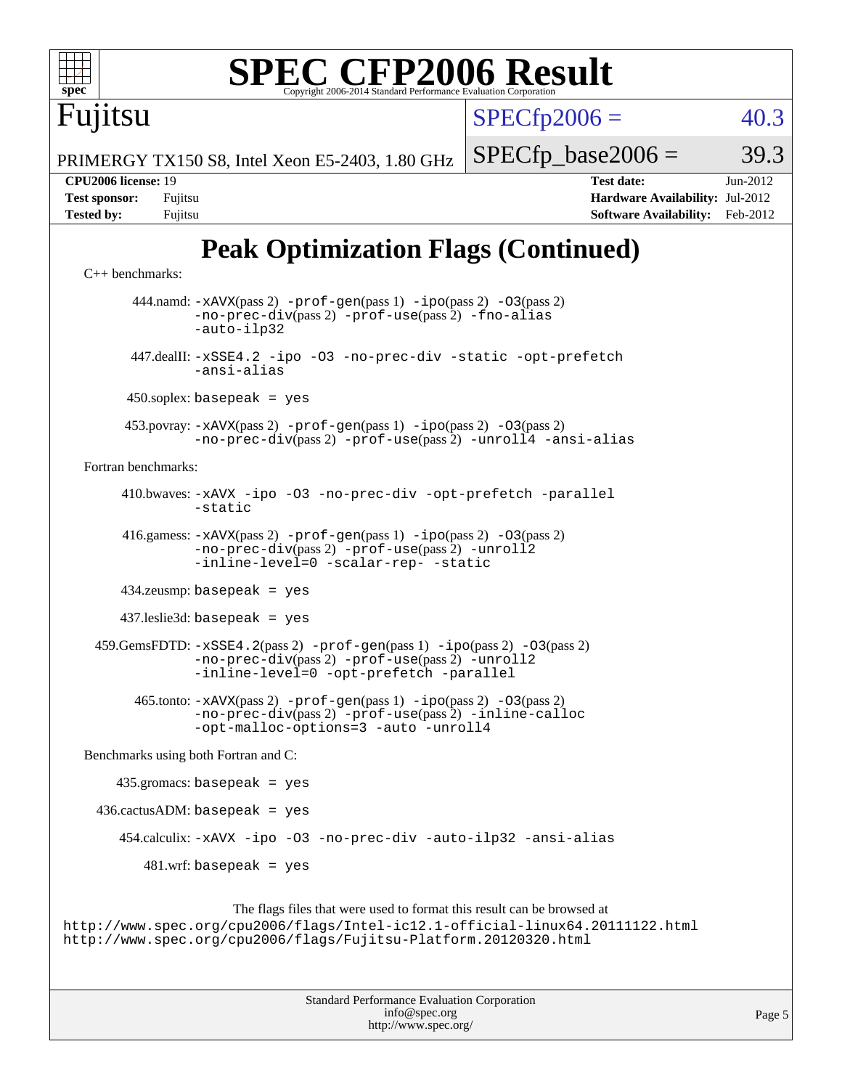$SPECTp2006 = 40.3$ 

 $SPECTp\_base2006 = 39.3$ 

PRIMERGY TX150 S8, Intel Xeon E5-2403, 1.80 GHz

**[CPU2006 license:](http://www.spec.org/auto/cpu2006/Docs/result-fields.html#CPU2006license)** 19 **[Test date:](http://www.spec.org/auto/cpu2006/Docs/result-fields.html#Testdate)** Jun-2012 **[Test sponsor:](http://www.spec.org/auto/cpu2006/Docs/result-fields.html#Testsponsor)** Fujitsu **[Hardware Availability:](http://www.spec.org/auto/cpu2006/Docs/result-fields.html#HardwareAvailability)** Jul-2012 **[Tested by:](http://www.spec.org/auto/cpu2006/Docs/result-fields.html#Testedby)** Fujitsu **[Software Availability:](http://www.spec.org/auto/cpu2006/Docs/result-fields.html#SoftwareAvailability)** Feb-2012

# **[Peak Optimization Flags \(Continued\)](http://www.spec.org/auto/cpu2006/Docs/result-fields.html#PeakOptimizationFlags)**

```
C++ benchmarks: 
       444.namd: -xAVX(pass 2) -prof-gen(pass 1) -ipo(pass 2) -O3(pass 2)
               -no-prec-div(pass 2) -prof-use(pass 2) -fno-alias
               -auto-ilp32
       447.dealII: -xSSE4.2 -ipo -O3 -no-prec-div -static -opt-prefetch
               -ansi-alias
      450.soplex: basepeak = yes
      453.povray: -xAVX(pass 2) -prof-gen(pass 1) -ipo(pass 2) -O3(pass 2)
               -no-prec-div(pass 2) -prof-use(pass 2) -unroll4 -ansi-alias
Fortran benchmarks: 
      410.bwaves: -xAVX -ipo -O3 -no-prec-div -opt-prefetch -parallel
               -static
      416.gamess: -xAVX(pass 2) -prof-gen(pass 1) -ipo(pass 2) -O3(pass 2)
               -no-prec-div(pass 2) -prof-use(pass 2) -unroll2
               -inline-level=0-scalar-rep--static
      434.zeusmp: basepeak = yes
      437.leslie3d: basepeak = yes
 -xSSE4.2-prof-gen-ipo-O3(pass 2)-no-prec-div(pass 2) -prof-use(pass 2) -unroll2
               -inline-level=0 -opt-prefetch -parallel
        465.tonto: -xAVX(pass 2) -prof-gen(pass 1) -ipo(pass 2) -O3(pass 2)
               -no-prec-div(pass 2) -prof-use(pass 2) -inline-calloc
               -opt-malloc-options=3 -auto -unroll4
Benchmarks using both Fortran and C: 
     435.gromacs: basepeak = yes
 436.cactusADM:basepeak = yes 454.calculix: -xAVX -ipo -O3 -no-prec-div -auto-ilp32 -ansi-alias
        481.wrf: basepeak = yes
                    The flags files that were used to format this result can be browsed at
```
<http://www.spec.org/cpu2006/flags/Intel-ic12.1-official-linux64.20111122.html> <http://www.spec.org/cpu2006/flags/Fujitsu-Platform.20120320.html>